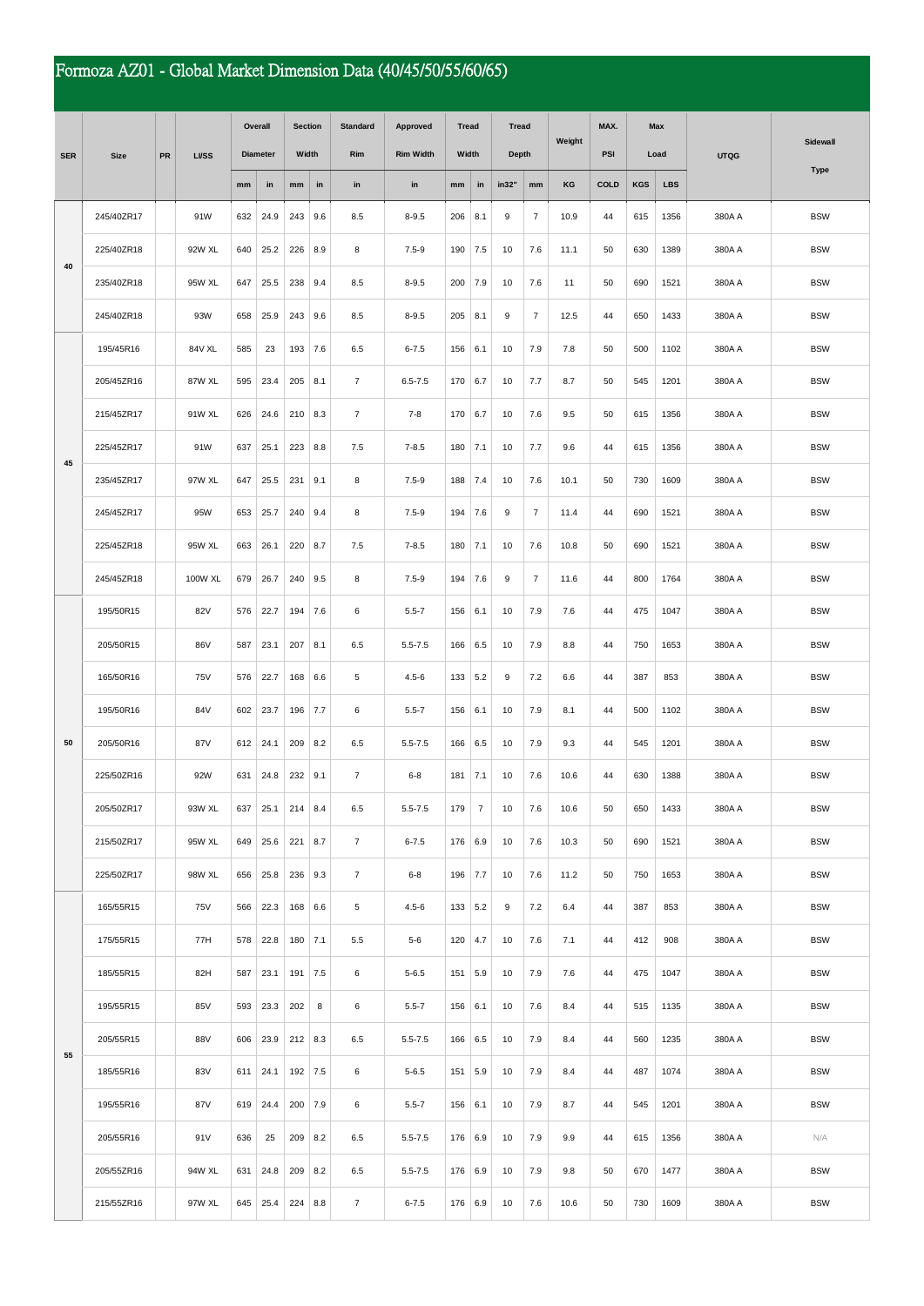## Formoza AZ01 - Global Market Dimension Data (40/45/50/55/60/65)

|            | <b>Size</b> | PR | <b>LI/SS</b> | Overall         |      | <b>Section</b> |     | <b>Standard</b> | Approved         | <b>Tread</b> |                | <b>Tread</b> |                | Weight | MAX. | <b>Max</b><br>Load |            | <b>UTQG</b> | Sidewall    |
|------------|-------------|----|--------------|-----------------|------|----------------|-----|-----------------|------------------|--------------|----------------|--------------|----------------|--------|------|--------------------|------------|-------------|-------------|
| <b>SER</b> |             |    |              | <b>Diameter</b> |      | Width          |     | Rim             | <b>Rim Width</b> | Width        |                | <b>Depth</b> |                |        | PSI  |                    |            |             |             |
|            |             |    |              | mm              | in   | mm             | in  | in              | in               | mm           | in             | in32"        | mm             | KG     | COLD | <b>KGS</b>         | <b>LBS</b> |             | <b>Type</b> |
|            | 245/40ZR17  |    | 91W          | 632             | 24.9 | 243            | 9.6 | 8.5             | $8 - 9.5$        | 206          | 8.1            | 9            | $\overline{7}$ | 10.9   | 44   | 615                | 1356       | 380A A      | <b>BSW</b>  |
|            | 225/40ZR18  |    | 92W XL       | 640             | 25.2 | 226            | 8.9 | 8               | $7.5 - 9$        | 190          | 7.5            | 10           | 7.6            | 11.1   | 50   | 630                | 1389       | 380A A      | <b>BSW</b>  |
| 40         | 235/40ZR18  |    | 95W XL       | 647             | 25.5 | 238            | 9.4 | 8.5             | $8 - 9.5$        | 200          | 7.9            | 10           | 7.6            | 11     | 50   | 690                | 1521       | 380A A      | <b>BSW</b>  |
|            | 245/40ZR18  |    | 93W          | 658             | 25.9 | 243            | 9.6 | 8.5             | $8 - 9.5$        | 205          | 8.1            | 9            | $\overline{7}$ | 12.5   | 44   | 650                | 1433       | 380A A      | <b>BSW</b>  |
|            | 195/45R16   |    | 84V XL       | 585             | 23   | 193            | 7.6 | 6.5             | $6 - 7.5$        | 156          | 6.1            | 10           | 7.9            | 7.8    | 50   | 500                | 1102       | 380A A      | <b>BSW</b>  |
|            | 205/45ZR16  |    | 87W XL       | 595             | 23.4 | 205            | 8.1 | $\overline{7}$  | $6.5 - 7.5$      | 170          | 6.7            | 10           | 7.7            | 8.7    | 50   | 545                | 1201       | 380A A      | <b>BSW</b>  |
|            | 215/45ZR17  |    | 91W XL       | 626             | 24.6 | 210            | 8.3 | $\overline{7}$  | $7 - 8$          | 170          | 6.7            | 10           | 7.6            | 9.5    | 50   | 615                | 1356       | 380A A      | <b>BSW</b>  |
| 45         | 225/45ZR17  |    | 91W          | 637             | 25.1 | 223            | 8.8 | 7.5             | $7 - 8.5$        | 180          | 7.1            | 10           | 7.7            | 9.6    | 44   | 615                | 1356       | 380A A      | <b>BSW</b>  |
|            | 235/45ZR17  |    | 97W XL       | 647             | 25.5 | 231            | 9.1 | 8               | $7.5 - 9$        | 188          | 7.4            | 10           | 7.6            | 10.1   | 50   | 730                | 1609       | 380A A      | <b>BSW</b>  |
|            | 245/45ZR17  |    | 95W          | 653             | 25.7 | 240            | 9.4 | 8               | $7.5 - 9$        | 194          | 7.6            | 9            | $\overline{7}$ | 11.4   | 44   | 690                | 1521       | 380A A      | <b>BSW</b>  |
|            | 225/45ZR18  |    | 95W XL       | 663             | 26.1 | 220            | 8.7 | 7.5             | $7 - 8.5$        | 180          | 7.1            | 10           | 7.6            | 10.8   | 50   | 690                | 1521       | 380A A      | <b>BSW</b>  |
|            | 245/45ZR18  |    | 100W XL      | 679             | 26.7 | 240            | 9.5 | 8               | $7.5 - 9$        | 194          | 7.6            | 9            | $\overline{7}$ | 11.6   | 44   | 800                | 1764       | 380A A      | <b>BSW</b>  |
|            | 195/50R15   |    | 82V          | 576             | 22.7 | 194            | 7.6 | 6               | $5.5 - 7$        | 156          | 6.1            | 10           | 7.9            | 7.6    | 44   | 475                | 1047       | 380A A      | <b>BSW</b>  |
|            | 205/50R15   |    | 86V          | 587             | 23.1 | 207            | 8.1 | 6.5             | $5.5 - 7.5$      | 166          | 6.5            | 10           | 7.9            | 8.8    | 44   | 750                | 1653       | 380A A      | <b>BSW</b>  |
|            | 165/50R16   |    | 75V          | 576             | 22.7 | 168            | 6.6 | 5               | $4.5 - 6$        | 133          | 5.2            | 9            | 7.2            | 6.6    | 44   | 387                | 853        | 380A A      | <b>BSW</b>  |
|            | 195/50R16   |    | 84V          | 602             | 23.7 | 196            | 7.7 | 6               | $5.5 - 7$        | 156          | 6.1            | 10           | 7.9            | 8.1    | 44   | 500                | 1102       | 380A A      | <b>BSW</b>  |
| 50         | 205/50R16   |    | 87V          | 612             | 24.1 | 209            | 8.2 | 6.5             | $5.5 - 7.5$      | 166          | 6.5            | 10           | 7.9            | 9.3    | 44   | 545                | 1201       | 380A A      | <b>BSW</b>  |
|            | 225/50ZR16  |    | 92W          | 631             | 24.8 | 232            | 9.1 | $\overline{7}$  | $6 - 8$          | 181          | 7.1            | 10           | 7.6            | 10.6   | 44   | 630                | 1388       | 380A A      | <b>BSW</b>  |
|            | 205/50ZR17  |    | 93W XL       | 637             | 25.1 | $214$ 8.4      |     | 6.5             | $5.5 - 7.5$      | 179          | $\overline{7}$ | 10           | 7.6            | 10.6   | 50   | 650                | 1433       | 380A A      | <b>BSW</b>  |
|            | 215/50ZR17  |    | 95W XL       | 649             | 25.6 | 221            | 8.7 | $\overline{7}$  | $6 - 7.5$        | 176          | 6.9            | 10           | 7.6            | 10.3   | 50   | 690                | 1521       | 380A A      | <b>BSW</b>  |
|            | 225/50ZR17  |    | 98W XL       | 656             | 25.8 | 236            | 9.3 | $\overline{7}$  | $6 - 8$          | 196          | 7.7            | 10           | 7.6            | 11.2   | 50   | 750                | 1653       | 380A A      | <b>BSW</b>  |
|            | 165/55R15   |    | 75V          | 566             | 22.3 | 168            | 6.6 | 5               | $4.5 - 6$        | 133          | 5.2            | 9            | 7.2            | 6.4    | 44   | 387                | 853        | 380A A      | <b>BSW</b>  |
|            | 175/55R15   |    | 77H          | 578             | 22.8 | 180 7.1        |     | 5.5             | $5-6$            | 120          | 4.7            | 10           | 7.6            | 7.1    | 44   | 412                | 908        | 380A A      | <b>BSW</b>  |
|            | 185/55R15   |    | 82H          | 587             | 23.1 | 191            | 7.5 | 6               | $5 - 6.5$        | 151          | 5.9            | 10           | 7.9            | 7.6    | 44   | 475                | 1047       | 380A A      | <b>BSW</b>  |
|            | 195/55R15   |    | 85V          | 593             | 23.3 | 202            | 8   | 6               | $5.5 - 7$        | 156          | 6.1            | 10           | 7.6            | 8.4    | 44   | 515                | 1135       | 380A A      | <b>BSW</b>  |
| 55         | 205/55R15   |    | 88V          | 606             | 23.9 | $212$ 8.3      |     | 6.5             | $5.5 - 7.5$      | 166          | 6.5            | 10           | 7.9            | 8.4    | 44   | 560                | 1235       | 380A A      | <b>BSW</b>  |
|            | 185/55R16   |    | 83V          | 611             | 24.1 | $192$ 7.5      |     | 6               | $5 - 6.5$        | 151          | 5.9            | 10           | 7.9            | 8.4    | 44   | 487                | 1074       | 380A A      | <b>BSW</b>  |
|            | 195/55R16   |    | 87V          | 619             | 24.4 | 200            | 7.9 | 6               | $5.5 - 7$        | 156          | 6.1            | 10           | 7.9            | 8.7    | 44   | 545                | 1201       | 380A A      | <b>BSW</b>  |
|            | 205/55R16   |    | 91 V         | 636             | 25   | 209            | 8.2 | 6.5             | $5.5 - 7.5$      | 176          | 6.9            | 10           | 7.9            | 9.9    | 44   | 615                | 1356       | 380A A      | N/A         |
|            | 205/55ZR16  |    | 94W XL       | 631             | 24.8 | 209            | 8.2 | 6.5             | $5.5 - 7.5$      | 176          | 6.9            | 10           | 7.9            | 9.8    | 50   | 670                | 1477       | 380A A      | <b>BSW</b>  |
|            | 215/55ZR16  |    | 97W XL       | 645             | 25.4 | 224            | 8.8 | $\overline{7}$  | $6 - 7.5$        | 176          | 6.9            | 10           | 7.6            | 10.6   | 50   | 730                | 1609       | 380A A      | <b>BSW</b>  |